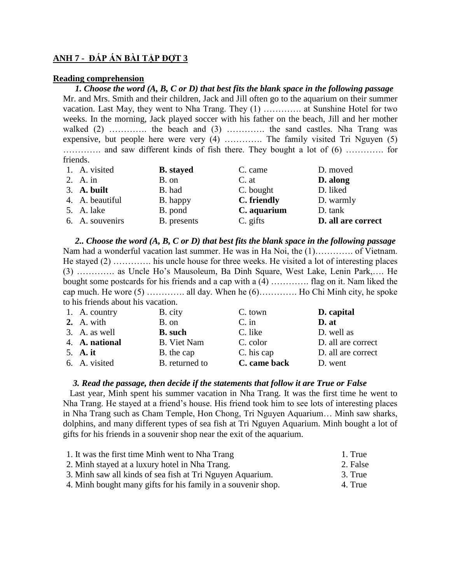## **ANH 7 - ĐÁP ÁN BÀI TẬP ĐỢT 3**

## **Reading comprehension**

*1. Choose the word (A, B, C or D) that best fits the blank space in the following passage* Mr. and Mrs. Smith and their children, Jack and Jill often go to the aquarium on their summer vacation. Last May, they went to Nha Trang. They (1) …………. at Sunshine Hotel for two weeks. In the morning, Jack played soccer with his father on the beach, Jill and her mother walked (2) ………….. the beach and (3) ………….. the sand castles. Nha Trang was expensive, but people here were very (4) …………. The family visited Tri Nguyen (5) …………. and saw different kinds of fish there. They bought a lot of (6) …………. for friends.

| 1. A. visited   | <b>B.</b> stayed | C. came     | D. moved           |
|-----------------|------------------|-------------|--------------------|
| 2. A. in        | B. on            | C. at       | D. along           |
| 3. A. built     | B. had           | C. bought   | D. liked           |
| 4. A. beautiful | B. happy         | C. friendly | D. warmly          |
| 5. A. lake      | B. pond          | C. aquarium | D. tank            |
| 6. A. souvenirs | B. presents      | C. gifts    | D. all are correct |

*2.. Choose the word (A, B, C or D) that best fits the blank space in the following passage* Nam had a wonderful vacation last summer. He was in Ha Noi, the (1)…………. of Vietnam. He stayed (2) …………. his uncle house for three weeks. He visited a lot of interesting places (3) …………. as Uncle Ho's Mausoleum, Ba Dinh Square, West Lake, Lenin Park,…. He bought some postcards for his friends and a cap with a (4) …………. flag on it. Nam liked the cap much. He wore  $(5)$  ………….. all day. When he  $(6)$ ……….. Ho Chi Minh city, he spoke to his friends about his vacation.

| 1. A. country  | B. city            | C. town      | D. capital         |
|----------------|--------------------|--------------|--------------------|
| 2. A. with     | B. on              | $C.$ in      | D. at              |
| 3. A. as well  | <b>B.</b> such     | C. like      | D. well as         |
| 4. A. national | <b>B.</b> Viet Nam | C. color     | D. all are correct |
| 5. A. it       | B. the cap         | C. his cap   | D. all are correct |
| 6. A. visited  | B. returned to     | C. came back | D. went            |

## *3. Read the passage, then decide if the statements that follow it are True or False*

 Last year, Minh spent his summer vacation in Nha Trang. It was the first time he went to Nha Trang. He stayed at a friend's house. His friend took him to see lots of interesting places in Nha Trang such as Cham Temple, Hon Chong, Tri Nguyen Aquarium… Minh saw sharks, dolphins, and many different types of sea fish at Tri Nguyen Aquarium. Minh bought a lot of gifts for his friends in a souvenir shop near the exit of the aquarium.

| 1. It was the first time Minh went to Nha Trang              | 1. True  |
|--------------------------------------------------------------|----------|
| 2. Minh stayed at a luxury hotel in Nha Trang.               | 2. False |
| 3. Minh saw all kinds of sea fish at Tri Nguyen Aquarium.    | 3. True  |
| 4. Minh bought many gifts for his family in a souvenir shop. | 4. True  |